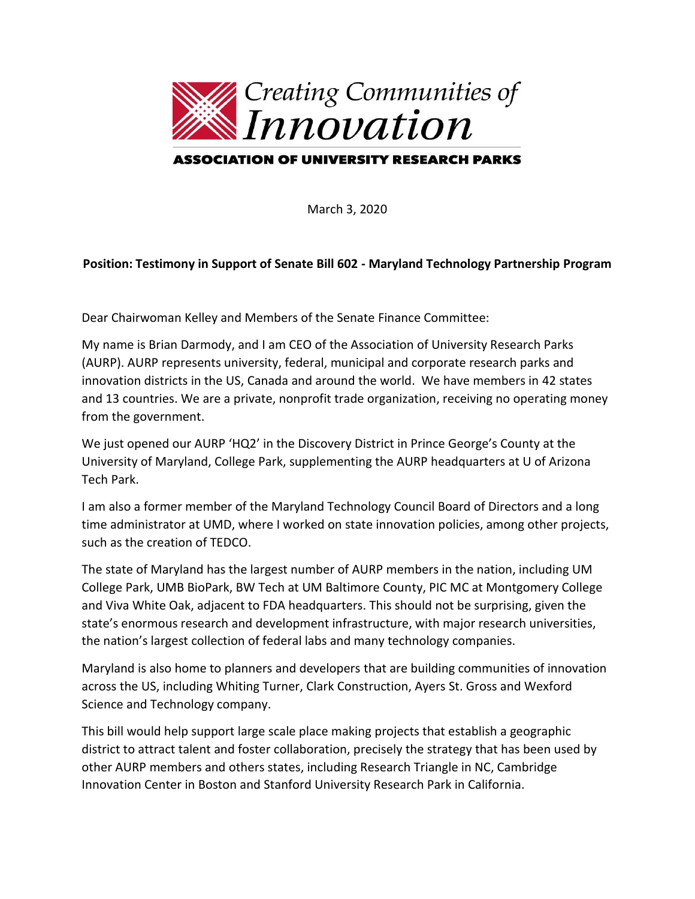

## ASSOCIATION OF UNIVERSITY RESEARCH PARKS

March 3, 2020

## **Position: Testimony in Support of Senate Bill 602 - Maryland Technology Partnership Program**

Dear Chairwoman Kelley and Members of the Senate Finance Committee:

My name is Brian Darmody, and I am CEO of the Association of University Research Parks (AURP). AURP represents university, federal, municipal and corporate research parks and innovation districts in the US, Canada and around the world. We have members in 42 states and 13 countries. We are a private, nonprofit trade organization, receiving no operating money from the government.

We just opened our AURP 'HQ2' in the Discovery District in Prince George's County at the University of Maryland, College Park, supplementing the AURP headquarters at U of Arizona Tech Park.

I am also a former member of the Maryland Technology Council Board of Directors and a long time administrator at UMD, where I worked on state innovation policies, among other projects, such as the creation of TEDCO.

The state of Maryland has the largest number of AURP members in the nation, including UM College Park, UMB BioPark, BW Tech at UM Baltimore County, PIC MC at Montgomery College and Viva White Oak, adjacent to FDA headquarters. This should not be surprising, given the state's enormous research and development infrastructure, with major research universities, the nation's largest collection of federal labs and many technology companies.

Maryland is also home to planners and developers that are building communities of innovation across the US, including Whiting Turner, Clark Construction, Ayers St. Gross and Wexford Science and Technology company.

This bill would help support large scale place making projects that establish a geographic district to attract talent and foster collaboration, precisely the strategy that has been used by other AURP members and others states, including Research Triangle in NC, Cambridge Innovation Center in Boston and Stanford University Research Park in California.